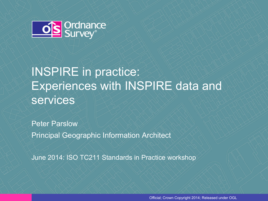

# INSPIRE in practice: Experiences with INSPIRE data and services

Peter Parslow Principal Geographic Information Architect

June 2014: ISO TC211 Standards in Practice workshop

Official; Crown Copyright 2014; Released under OGL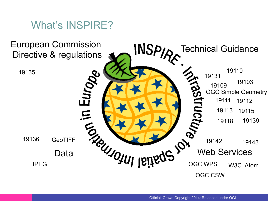

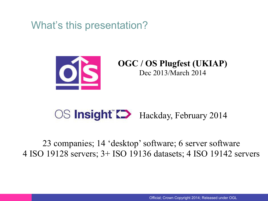What's this presentation?



**OGC / OS Plugfest (UKIAP)**  Dec 2013/March 2014

# OS **Insight C** Hackday, February 2014

23 companies; 14 'desktop' software; 6 server software 4 ISO 19128 servers; 3+ ISO 19136 datasets; 4 ISO 19142 servers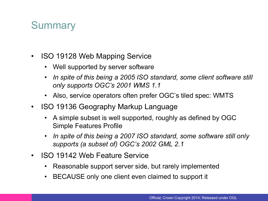#### **Summary**

- ISO 19128 Web Mapping Service
	- Well supported by server software
	- *In spite of this being a 2005 ISO standard, some client software still only supports OGC's 2001 WMS 1.1*
	- Also, service operators often prefer OGC's tiled spec: WMTS
- ISO 19136 Geography Markup Language
	- A simple subset is well supported, roughly as defined by OGC Simple Features Profile
	- *In spite of this being a 2007 ISO standard, some software still only supports (a subset of) OGC's 2002 GML 2.1*
- ISO 19142 Web Feature Service
	- Reasonable support server side, but rarely implemented
	- BECAUSE only one client even claimed to support it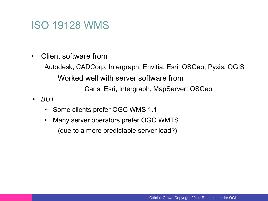## ISO 19128 WMS

• Client software from

Autodesk, CADCorp, Intergraph, Envitia, Esri, OSGeo, Pyxis, QGIS Worked well with server software from Caris, Esri, Intergraph, MapServer, OSGeo

- *BUT* 
	- Some clients prefer OGC WMS 1.1
	- Many server operators prefer OGC WMTS (due to a more predictable server load?)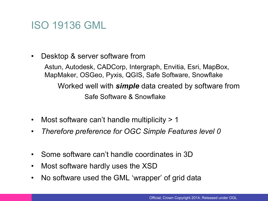## ISO 19136 GML

• Desktop & server software from

Astun, Autodesk, CADCorp, Intergraph, Envitia, Esri, MapBox, MapMaker, OSGeo, Pyxis, QGIS, Safe Software, Snowflake Worked well with *simple* data created by software from Safe Software & Snowflake

- Most software can't handle multiplicity > 1
- *Therefore preference for OGC Simple Features level 0*
- Some software can't handle coordinates in 3D
- Most software hardly uses the XSD
- No software used the GML 'wrapper' of grid data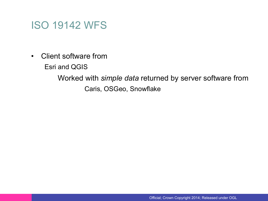#### ISO 19142 WFS

• Client software from

Esri and QGIS

Worked with *simple data* returned by server software from Caris, OSGeo, Snowflake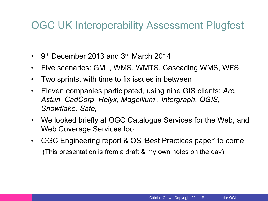#### OGC UK Interoperability Assessment Plugfest

- 9<sup>th</sup> December 2013 and 3<sup>rd</sup> March 2014
- Five scenarios: GML, WMS, WMTS, Cascading WMS, WFS
- Two sprints, with time to fix issues in between
- Eleven companies participated, using nine GIS clients: *Arc, Astun, CadCorp, Helyx, Magellium , Intergraph, QGIS, Snowflake, Safe,*
- We looked briefly at OGC Catalogue Services for the Web, and Web Coverage Services too
- OGC Engineering report & OS 'Best Practices paper' to come (This presentation is from a draft & my own notes on the day)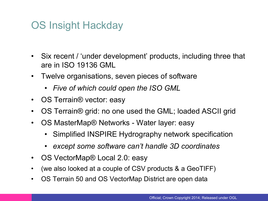# OS Insight Hackday

- Six recent / 'under development' products, including three that are in ISO 19136 GML
- Twelve organisations, seven pieces of software
	- *Five of which could open the ISO GML*
- OS Terrain® vector: easy
- OS Terrain® grid: no one used the GML; loaded ASCII grid
- OS MasterMap® Networks Water layer: easy
	- Simplified INSPIRE Hydrography network specification
	- *except some software can't handle 3D coordinates*
- OS VectorMap® Local 2.0: easy
- (we also looked at a couple of CSV products & a GeoTIFF)
- OS Terrain 50 and OS VectorMap District are open data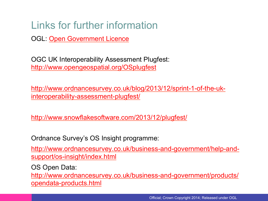# Links for further information

OGL: Open Government Licence

OGC UK Interoperability Assessment Plugfest: http://www.opengeospatial.org/OSplugfest

http://www.ordnancesurvey.co.uk/blog/2013/12/sprint-1-of-the-ukinteroperability-assessment-plugfest/

http://www.snowflakesoftware.com/2013/12/plugfest/

Ordnance Survey's OS Insight programme:

http://www.ordnancesurvey.co.uk/business-and-government/help-andsupport/os-insight/index.html

OS Open Data:

http://www.ordnancesurvey.co.uk/business-and-government/products/ opendata-products.html